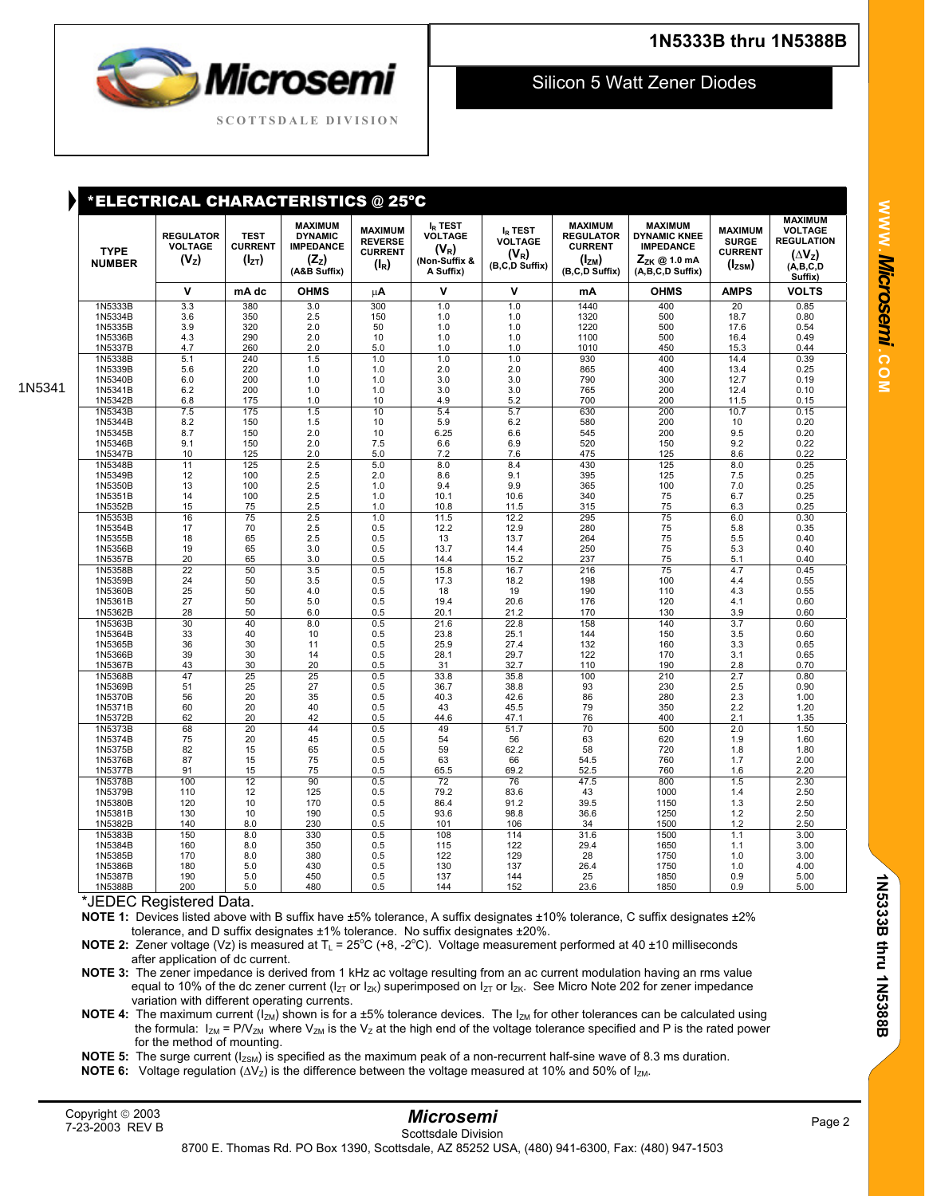## **1N5333B thru 1N5388B**



## Silicon 5 Watt Zener Diodes

| <b>TYPE</b><br><b>NUMBER</b> | *ELECTRICAL CHARACTERISTICS @ 25°C<br><b>REGULATOR</b><br><b>VOLTAGE</b><br>(V <sub>z</sub> ) | <b>TEST</b><br><b>CURRENT</b><br>$(I_{ZT})$ | <b>MAXIMUM</b><br><b>DYNAMIC</b><br><b>IMPEDANCE</b><br>$(Z_{Z})$<br>(A&B Suffix) | <b>MAXIMUM</b><br><b>REVERSE</b><br><b>CURRENT</b><br>$(I_R)$ | I <sub>R</sub> TEST<br><b>VOLTAGE</b><br>$(V_R)$<br>(Non-Suffix &<br>A Suffix) | $I_R$ TEST<br><b>VOLTAGE</b><br>$(V_R)$<br>(B,C,D Suffix) | <b>MAXIMUM</b><br><b>REGULATOR</b><br><b>CURRENT</b><br>(I <sub>ZM</sub> )<br>(B,C,D Suffix) | <b>MAXIMUM</b><br><b>DYNAMIC KNEE</b><br><b>IMPEDANCE</b><br>$Z_{ZK}$ @ 1.0 mA<br>(A,B,C,D Suffix) | <b>MAXIMUM</b><br><b>SURGE</b><br><b>CURRENT</b><br>$(I_{ZSM})$ | <b>MAXIMUM</b><br><b>VOLTAGE</b><br><b>REGULATION</b><br>$(\Delta V_z)$<br>(A.B.C.D<br>Suffix) |
|------------------------------|-----------------------------------------------------------------------------------------------|---------------------------------------------|-----------------------------------------------------------------------------------|---------------------------------------------------------------|--------------------------------------------------------------------------------|-----------------------------------------------------------|----------------------------------------------------------------------------------------------|----------------------------------------------------------------------------------------------------|-----------------------------------------------------------------|------------------------------------------------------------------------------------------------|
|                              | V                                                                                             | mA dc                                       | <b>OHMS</b>                                                                       | μA                                                            | $\mathsf{v}$                                                                   | $\mathbf v$                                               | mA                                                                                           | <b>OHMS</b>                                                                                        | <b>AMPS</b>                                                     | <b>VOLTS</b>                                                                                   |
| 1N5333B                      | 3.3                                                                                           | 380                                         | 3.0                                                                               | 300                                                           | 1.0                                                                            | 1.0                                                       | 1440                                                                                         | 400                                                                                                | 20                                                              | 0.85                                                                                           |
| 1N5334B                      | 3.6                                                                                           | 350                                         | 2.5                                                                               | 150                                                           | 1.0                                                                            | 1.0                                                       | 1320                                                                                         | 500                                                                                                | 18.7                                                            | 0.80                                                                                           |
| 1N5335B<br>1N5336B           | 3.9<br>4.3                                                                                    | 320<br>290                                  | 2.0                                                                               | 50<br>10                                                      | 1.0                                                                            | 1.0                                                       | 1220<br>1100                                                                                 | 500<br>500                                                                                         | 17.6                                                            | 0.54<br>0.49                                                                                   |
| 1N5337B                      | 4.7                                                                                           | 260                                         | 2.0<br>2.0                                                                        | 5.0                                                           | 1.0<br>1.0                                                                     | 1.0<br>1.0                                                | 1010                                                                                         | 450                                                                                                | 16.4<br>15.3                                                    | 0.44                                                                                           |
| 1N5338B                      | 5.1                                                                                           | 240                                         | 1.5                                                                               | 1.0                                                           | 1.0                                                                            | 1.0                                                       | 930                                                                                          | 400                                                                                                | 14.4                                                            | 0.39                                                                                           |
| 1N5339B                      | 5.6                                                                                           | 220                                         | 1.0                                                                               | 1.0                                                           | 2.0                                                                            | 2.0                                                       | 865                                                                                          | 400                                                                                                | 13.4                                                            | 0.25                                                                                           |
| 1N5340B                      | 6.0                                                                                           | 200                                         | 1.0                                                                               | 1.0                                                           | 3.0                                                                            | 3.0                                                       | 790                                                                                          | 300                                                                                                | 12.7                                                            | 0.19                                                                                           |
| 1N5341B                      | 6.2                                                                                           | 200                                         | 1.0                                                                               | 1.0                                                           | 3.0                                                                            | 3.0                                                       | 765                                                                                          | 200                                                                                                | 12.4                                                            | 0.10                                                                                           |
| 1N5342B<br>1N5343B           | 6.8<br>7.5                                                                                    | 175<br>175                                  | 1.0<br>1.5                                                                        | 10<br>10                                                      | 4.9<br>5.4                                                                     | 5.2<br>5.7                                                | 700<br>630                                                                                   | 200<br>200                                                                                         | 11.5<br>10.7                                                    | 0.15<br>0.15                                                                                   |
| 1N5344B                      | 8.2                                                                                           | 150                                         | 1.5                                                                               | 10                                                            | 5.9                                                                            | 6.2                                                       | 580                                                                                          | 200                                                                                                | 10                                                              | 0.20                                                                                           |
| 1N5345B                      | 8.7                                                                                           | 150                                         | 2.0                                                                               | 10                                                            | 6.25                                                                           | 6.6                                                       | 545                                                                                          | 200                                                                                                | 9.5                                                             | 0.20                                                                                           |
| 1N5346B                      | 9.1                                                                                           | 150                                         | 2.0                                                                               | 7.5                                                           | 6.6                                                                            | 6.9                                                       | 520                                                                                          | 150                                                                                                | 9.2                                                             | 0.22                                                                                           |
| 1N5347B                      | 10                                                                                            | 125                                         | 2.0                                                                               | 5.0                                                           | 7.2                                                                            | 7.6                                                       | 475                                                                                          | 125                                                                                                | 8.6                                                             | 0.22                                                                                           |
| 1N5348B<br>1N5349B           | 11<br>12                                                                                      | 125<br>100                                  | 2.5<br>2.5                                                                        | 5.0<br>2.0                                                    | 8.0<br>8.6                                                                     | 8.4<br>9.1                                                | 430<br>395                                                                                   | 125<br>125                                                                                         | 8.0<br>7.5                                                      | 0.25<br>0.25                                                                                   |
| 1N5350B                      | 13                                                                                            | 100                                         | 2.5                                                                               | 1.0                                                           | 9.4                                                                            | 9.9                                                       | 365                                                                                          | 100                                                                                                | 7.0                                                             | 0.25                                                                                           |
| 1N5351B                      | 14                                                                                            | 100                                         | 2.5                                                                               | 1.0                                                           | 10.1                                                                           | 10.6                                                      | 340                                                                                          | 75                                                                                                 | 6.7                                                             | 0.25                                                                                           |
| 1N5352B                      | 15                                                                                            | 75                                          | 2.5                                                                               | 1.0                                                           | 10.8                                                                           | 11.5                                                      | 315                                                                                          | 75                                                                                                 | 6.3                                                             | 0.25                                                                                           |
| 1N5353B                      | 16                                                                                            | 75                                          | 2.5                                                                               | 1.0                                                           | 11.5                                                                           | 12.2                                                      | 295                                                                                          | 75                                                                                                 | 6.0                                                             | 0.30                                                                                           |
| 1N5354B<br>1N5355B           | 17<br>18                                                                                      | 70<br>65                                    | 2.5<br>2.5                                                                        | 0.5<br>0.5                                                    | 12.2<br>13                                                                     | 12.9<br>13.7                                              | 280<br>264                                                                                   | 75<br>75                                                                                           | 5.8<br>5.5                                                      | 0.35<br>0.40                                                                                   |
| 1N5356B                      | 19                                                                                            | 65                                          | 3.0                                                                               | 0.5                                                           | 13.7                                                                           | 14.4                                                      | 250                                                                                          | 75                                                                                                 | 5.3                                                             | 0.40                                                                                           |
| 1N5357B                      | 20                                                                                            | 65                                          | 3.0                                                                               | 0.5                                                           | 14.4                                                                           | 15.2                                                      | 237                                                                                          | 75                                                                                                 | 5.1                                                             | 0.40                                                                                           |
| 1N5358B                      | 22                                                                                            | 50                                          | 3.5                                                                               | 0.5                                                           | 15.8                                                                           | 16.7                                                      | 216                                                                                          | 75                                                                                                 | 4.7                                                             | 0.45                                                                                           |
| 1N5359B                      | 24<br>25                                                                                      | 50<br>50                                    | 3.5                                                                               | 0.5                                                           | 17.3                                                                           | 18.2                                                      | 198<br>190                                                                                   | 100                                                                                                | 4.4                                                             | 0.55                                                                                           |
| 1N5360B<br>1N5361B           | 27                                                                                            | 50                                          | 4.0<br>5.0                                                                        | 0.5<br>0.5                                                    | 18<br>19.4                                                                     | 19<br>20.6                                                | 176                                                                                          | 110<br>120                                                                                         | 4.3<br>4.1                                                      | 0.55<br>0.60                                                                                   |
| 1N5362B                      | 28                                                                                            | 50                                          | 6.0                                                                               | 0.5                                                           | 20.1                                                                           | 21.2                                                      | 170                                                                                          | 130                                                                                                | 3.9                                                             | 0.60                                                                                           |
| 1N5363B                      | 30                                                                                            | 40                                          | 8.0                                                                               | 0.5                                                           | 21.6                                                                           | 22.8                                                      | 158                                                                                          | 140                                                                                                | 3.7                                                             | 0.60                                                                                           |
| 1N5364B                      | 33                                                                                            | 40                                          | 10                                                                                | 0.5                                                           | 23.8                                                                           | 25.1                                                      | 144                                                                                          | 150                                                                                                | 3.5                                                             | 0.60                                                                                           |
| 1N5365B<br>1N5366B           | 36<br>39                                                                                      | 30<br>30                                    | 11<br>14                                                                          | 0.5                                                           | 25.9<br>28.1                                                                   | 27.4<br>29.7                                              | 132<br>122                                                                                   | 160<br>170                                                                                         | 3.3<br>3.1                                                      | 0.65<br>0.65                                                                                   |
| 1N5367B                      | 43                                                                                            | 30                                          | 20                                                                                | 0.5<br>0.5                                                    | 31                                                                             | 32.7                                                      | 110                                                                                          | 190                                                                                                | 2.8                                                             | 0.70                                                                                           |
| 1N5368B                      | 47                                                                                            | 25                                          | 25                                                                                | 0.5                                                           | 33.8                                                                           | 35.8                                                      | 100                                                                                          | 210                                                                                                | 2.7                                                             | 0.80                                                                                           |
| 1N5369B                      | 51                                                                                            | 25                                          | 27                                                                                | 0.5                                                           | 36.7                                                                           | 38.8                                                      | 93                                                                                           | 230                                                                                                | 2.5                                                             | 0.90                                                                                           |
| 1N5370B                      | 56                                                                                            | 20                                          | 35                                                                                | 0.5                                                           | 40.3                                                                           | 42.6                                                      | 86                                                                                           | 280                                                                                                | 2.3                                                             | 1.00                                                                                           |
| 1N5371B<br>1N5372B           | 60<br>62                                                                                      | 20<br>20                                    | 40<br>42                                                                          | 0.5<br>0.5                                                    | 43<br>44.6                                                                     | 45.5<br>47.1                                              | 79<br>76                                                                                     | 350<br>400                                                                                         | 2.2<br>2.1                                                      | 1.20<br>1.35                                                                                   |
| 1N5373B                      | 68                                                                                            | 20                                          | 44                                                                                | 0.5                                                           | 49                                                                             | 51.7                                                      | 70                                                                                           | 500                                                                                                | 2.0                                                             | 1.50                                                                                           |
| 1N5374B                      | 75                                                                                            | 20                                          | 45                                                                                | 0.5                                                           | 54                                                                             | 56                                                        | 63                                                                                           | 620                                                                                                | 1.9                                                             | 1.60                                                                                           |
| 1N5375B                      | 82                                                                                            | 15                                          | 65                                                                                | 0.5                                                           | 59                                                                             | 62.2                                                      | 58                                                                                           | 720                                                                                                | 1.8                                                             | 1.80                                                                                           |
| 1N5376B                      | 87                                                                                            | 15                                          | 75<br>75                                                                          | 0.5                                                           | 63                                                                             | 66<br>69.2                                                | 54.5                                                                                         | 760                                                                                                | 1.7                                                             | 2.00                                                                                           |
| 1N5377B<br>1N5378B           | 91<br>100                                                                                     | 15<br>12                                    | 90                                                                                | 0.5<br>0.5                                                    | 65.5<br>72                                                                     | 76                                                        | 52.5<br>47.5                                                                                 | 760<br>800                                                                                         | 1.6<br>1.5                                                      | 2.20<br>2.30                                                                                   |
| 1N5379B                      | 110                                                                                           | 12                                          | 125                                                                               | 0.5                                                           | 79.2                                                                           | 83.6                                                      | 43                                                                                           | 1000                                                                                               | 1.4                                                             | 2.50                                                                                           |
| 1N5380B                      | 120                                                                                           | 10                                          | 170                                                                               | 0.5                                                           | 86.4                                                                           | 91.2                                                      | 39.5                                                                                         | 1150                                                                                               | 1.3                                                             | 2.50                                                                                           |
| 1N5381B                      | 130                                                                                           | 10                                          | 190                                                                               | 0.5                                                           | 93.6                                                                           | 98.8                                                      | 36.6                                                                                         | 1250                                                                                               | 1.2                                                             | 2.50                                                                                           |
| 1N5382B<br>1N5383B           | 140<br>150                                                                                    | 8.0<br>8.0                                  | 230<br>330                                                                        | 0.5<br>0.5                                                    | 101<br>108                                                                     | 106<br>114                                                | 34<br>31.6                                                                                   | 1500<br>1500                                                                                       | 1.2<br>1.1                                                      | 2.50<br>3.00                                                                                   |
| 1N5384B                      | 160                                                                                           | 8.0                                         | 350                                                                               | 0.5                                                           | 115                                                                            | 122                                                       | 29.4                                                                                         | 1650                                                                                               | 1.1                                                             | 3.00                                                                                           |
| 1N5385B                      | 170                                                                                           | 8.0                                         | 380                                                                               | 0.5                                                           | 122                                                                            | 129                                                       | 28                                                                                           | 1750                                                                                               | 1.0                                                             | 3.00                                                                                           |
| 1N5386B                      | 180                                                                                           | 5.0                                         | 430                                                                               | 0.5                                                           | 130                                                                            | 137                                                       | 26.4                                                                                         | 1750                                                                                               | 1.0                                                             | 4.00                                                                                           |
| 1N5387B                      | 190                                                                                           | 5.0                                         | 450                                                                               | 0.5                                                           | 137                                                                            | 144                                                       | 25                                                                                           | 1850                                                                                               | 0.9                                                             | 5.00                                                                                           |
| 1N5388B                      | 200                                                                                           | 5.0                                         | 480                                                                               | 0.5                                                           | 144                                                                            | 152                                                       | 23.6                                                                                         | 1850                                                                                               | 0.9                                                             | 5.00                                                                                           |

\*JEDEC Registered Data.

**NOTE 1:** Devices listed above with B suffix have ±5% tolerance, A suffix designates ±10% tolerance, C suffix designates ±2% tolerance, and D suffix designates ±1% tolerance. No suffix designates ±20%.

**NOTE 2:** Zener voltage (Vz) is measured at T<sub>L</sub> = 25°C (+8, -2°C). Voltage measurement performed at 40 ±10 milliseconds after application of dc current.

 **NOTE 3:** The zener impedance is derived from 1 kHz ac voltage resulting from an ac current modulation having an rms value equal to 10% of the dc zener current ( $I_{ZT}$  or  $I_{ZK}$ ) superimposed on  $I_{ZT}$  or  $I_{ZK}$ . See Micro Note 202 for zener impedance variation with different operating currents.

**NOTE 4:** The maximum current  $(l_{ZM})$  shown is for a ±5% tolerance devices. The  $l_{ZM}$  for other tolerances can be calculated using the formula:  $I_{ZM} = P/V_{ZM}$  where  $V_{ZM}$  is the V<sub>z</sub> at the high end of the voltage tolerance specified and P is the rated power for the method of mounting.

**NOTE 5:** The surge current ( $I_{ZSM}$ ) is specified as the maximum peak of a non-recurrent half-sine wave of 8.3 ms duration.

**NOTE 6:** Voltage regulation  $(\Delta V_z)$  is the difference between the voltage measured at 10% and 50% of I<sub>ZM</sub>.

1N534

## *Microsemi*  Scottsdale Division  $\rho_{\rm 2}$ Copyright © 2003<br>7-23-2003 PEV B

**1N5333B thru 1N5388B** 

1Z5333B thru 1Z5388B